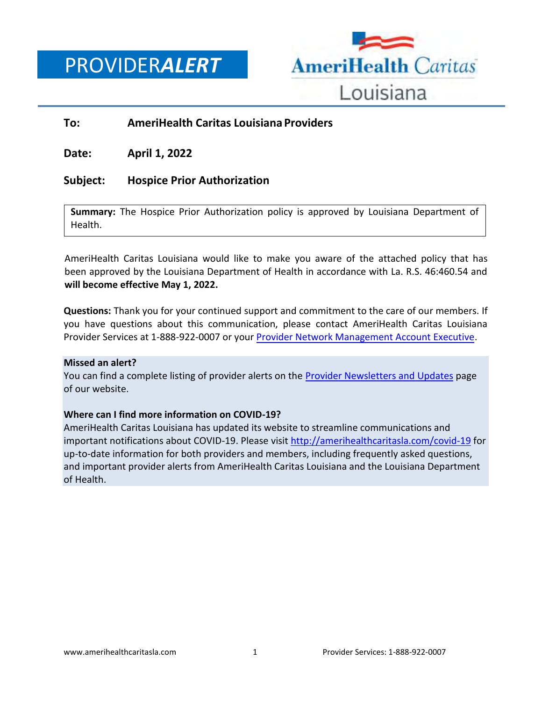PROVIDER*ALERT*



#### **To: AmeriHealth Caritas Louisiana Providers**

**Date: April 1, 2022**

#### **Subject: Hospice Prior Authorization**

**Summary:** The Hospice Prior Authorization policy is approved by Louisiana Department of Health.

AmeriHealth Caritas Louisiana would like to make you aware of the attached policy that has been approved by the Louisiana Department of Health in accordance with La. R.S. 46:460.54 and **will become effective May 1, 2022.** 

**Questions:** Thank you for your continued support and commitment to the care of our members. If you have questions about this communication, please contact AmeriHealth Caritas Louisiana Provider Services at 1-888-922-0007 or your [Provider Network Management Account Executive.](http://www.amerihealthcaritasla.com/pdf/provider/account-executives.pdf)

#### **Missed an alert?**

You can find a complete listing of provider alerts on the [Provider Newsletters and Updates](http://amerihealthcaritasla.com/provider/newsletters-and-updates) page of our website.

#### **Where can I find more information on COVID-19?**

AmeriHealth Caritas Louisiana has updated its website to streamline communications and important notifications about COVID-19. Please visit<http://amerihealthcaritasla.com/covid-19> for up-to-date information for both providers and members, including frequently asked questions, and important provider alerts from AmeriHealth Caritas Louisiana and the Louisiana Department of Health.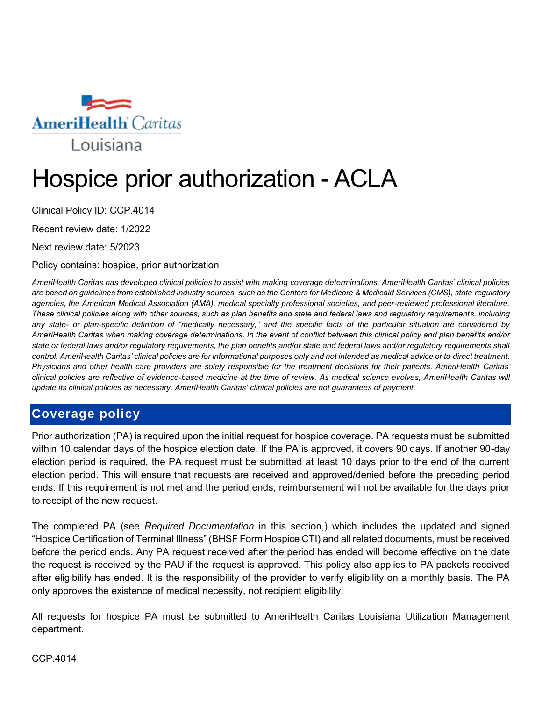

# Hospice prior authorization - ACLA

Clinical Policy ID: CCP.4014

Recent review date: 1/2022

Next review date: 5/2023

Policy contains: hospice, prior authorization

*AmeriHealth Caritas has developed clinical policies to assist with making coverage determinations. AmeriHealth Caritas' clinical policies are based on guidelines from established industry sources, such as the Centers for Medicare & Medicaid Services (CMS), state regulatory agencies, the American Medical Association (AMA), medical specialty professional societies, and peer-reviewed professional literature. These clinical policies along with other sources, such as plan benefits and state and federal laws and regulatory requirements, including any state- or plan-specific definition of "medically necessary," and the specific facts of the particular situation are considered by AmeriHealth Caritas when making coverage determinations. In the event of conflict between this clinical policy and plan benefits and/or state or federal laws and/or regulatory requirements, the plan benefits and/or state and federal laws and/or regulatory requirements shall control. AmeriHealth Caritas' clinical policies are for informational purposes only and not intended as medical advice or to direct treatment. Physicians and other health care providers are solely responsible for the treatment decisions for their patients. AmeriHealth Caritas' clinical policies are reflective of evidence-based medicine at the time of review. As medical science evolves, AmeriHealth Caritas will update its clinical policies as necessary. AmeriHealth Caritas' clinical policies are not guarantees of payment.*

## **Coverage policy**

Prior authorization (PA) is required upon the initial request for hospice coverage. PA requests must be submitted within 10 calendar days of the hospice election date. If the PA is approved, it covers 90 days. If another 90-day election period is required, the PA request must be submitted at least 10 days prior to the end of the current election period. This will ensure that requests are received and approved/denied before the preceding period ends. If this requirement is not met and the period ends, reimbursement will not be available for the days prior to receipt of the new request.

The completed PA (see *Required Documentation* in this section,) which includes the updated and signed "Hospice Certification of Terminal Illness" (BHSF Form Hospice CTI) and all related documents, must be received before the period ends. Any PA request received after the period has ended will become effective on the date the request is received by the PAU if the request is approved. This policy also applies to PA packets received after eligibility has ended. It is the responsibility of the provider to verify eligibility on a monthly basis. The PA only approves the existence of medical necessity, not recipient eligibility.

All requests for hospice PA must be submitted to AmeriHealth Caritas Louisiana Utilization Management department.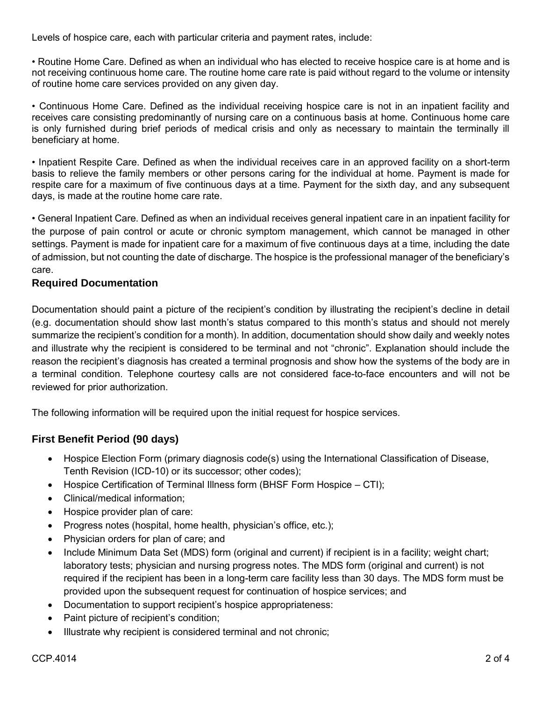Levels of hospice care, each with particular criteria and payment rates, include:

• Routine Home Care. Defined as when an individual who has elected to receive hospice care is at home and is not receiving continuous home care. The routine home care rate is paid without regard to the volume or intensity of routine home care services provided on any given day.

• Continuous Home Care. Defined as the individual receiving hospice care is not in an inpatient facility and receives care consisting predominantly of nursing care on a continuous basis at home. Continuous home care is only furnished during brief periods of medical crisis and only as necessary to maintain the terminally ill beneficiary at home.

• Inpatient Respite Care. Defined as when the individual receives care in an approved facility on a short-term basis to relieve the family members or other persons caring for the individual at home. Payment is made for respite care for a maximum of five continuous days at a time. Payment for the sixth day, and any subsequent days, is made at the routine home care rate.

• General Inpatient Care. Defined as when an individual receives general inpatient care in an inpatient facility for the purpose of pain control or acute or chronic symptom management, which cannot be managed in other settings. Payment is made for inpatient care for a maximum of five continuous days at a time, including the date of admission, but not counting the date of discharge. The hospice is the professional manager of the beneficiary's care.

#### **Required Documentation**

Documentation should paint a picture of the recipient's condition by illustrating the recipient's decline in detail (e.g. documentation should show last month's status compared to this month's status and should not merely summarize the recipient's condition for a month). In addition, documentation should show daily and weekly notes and illustrate why the recipient is considered to be terminal and not "chronic". Explanation should include the reason the recipient's diagnosis has created a terminal prognosis and show how the systems of the body are in a terminal condition. Telephone courtesy calls are not considered face-to-face encounters and will not be reviewed for prior authorization.

The following information will be required upon the initial request for hospice services.

## **First Benefit Period (90 days)**

- Hospice Election Form (primary diagnosis code(s) using the International Classification of Disease, Tenth Revision (ICD-10) or its successor; other codes);
- Hospice Certification of Terminal Illness form (BHSF Form Hospice CTI);
- Clinical/medical information:
- Hospice provider plan of care:
- Progress notes (hospital, home health, physician's office, etc.);
- Physician orders for plan of care; and
- Include Minimum Data Set (MDS) form (original and current) if recipient is in a facility; weight chart; laboratory tests; physician and nursing progress notes. The MDS form (original and current) is not required if the recipient has been in a long-term care facility less than 30 days. The MDS form must be provided upon the subsequent request for continuation of hospice services; and
- Documentation to support recipient's hospice appropriateness:
- Paint picture of recipient's condition;
- Illustrate why recipient is considered terminal and not chronic;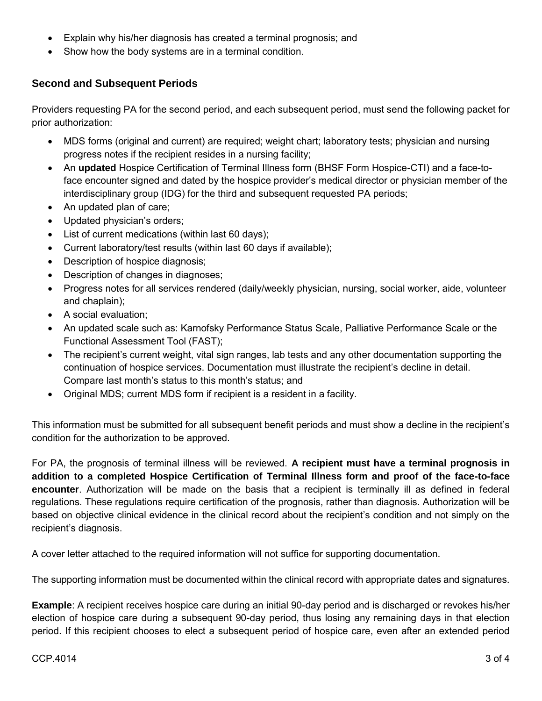- Explain why his/her diagnosis has created a terminal prognosis; and
- Show how the body systems are in a terminal condition.

### **Second and Subsequent Periods**

Providers requesting PA for the second period, and each subsequent period, must send the following packet for prior authorization:

- MDS forms (original and current) are required; weight chart; laboratory tests; physician and nursing progress notes if the recipient resides in a nursing facility;
- An **updated** Hospice Certification of Terminal Illness form (BHSF Form Hospice-CTI) and a face-toface encounter signed and dated by the hospice provider's medical director or physician member of the interdisciplinary group (IDG) for the third and subsequent requested PA periods;
- An updated plan of care;
- Updated physician's orders;
- List of current medications (within last 60 days);
- Current laboratory/test results (within last 60 days if available);
- Description of hospice diagnosis;
- Description of changes in diagnoses;
- Progress notes for all services rendered (daily/weekly physician, nursing, social worker, aide, volunteer and chaplain);
- A social evaluation;
- An updated scale such as: Karnofsky Performance Status Scale, Palliative Performance Scale or the Functional Assessment Tool (FAST);
- The recipient's current weight, vital sign ranges, lab tests and any other documentation supporting the continuation of hospice services. Documentation must illustrate the recipient's decline in detail. Compare last month's status to this month's status; and
- Original MDS; current MDS form if recipient is a resident in a facility.

This information must be submitted for all subsequent benefit periods and must show a decline in the recipient's condition for the authorization to be approved.

For PA, the prognosis of terminal illness will be reviewed. **A recipient must have a terminal prognosis in addition to a completed Hospice Certification of Terminal Illness form and proof of the face-to-face encounter**. Authorization will be made on the basis that a recipient is terminally ill as defined in federal regulations. These regulations require certification of the prognosis, rather than diagnosis. Authorization will be based on objective clinical evidence in the clinical record about the recipient's condition and not simply on the recipient's diagnosis.

A cover letter attached to the required information will not suffice for supporting documentation.

The supporting information must be documented within the clinical record with appropriate dates and signatures.

**Example**: A recipient receives hospice care during an initial 90-day period and is discharged or revokes his/her election of hospice care during a subsequent 90-day period, thus losing any remaining days in that election period. If this recipient chooses to elect a subsequent period of hospice care, even after an extended period